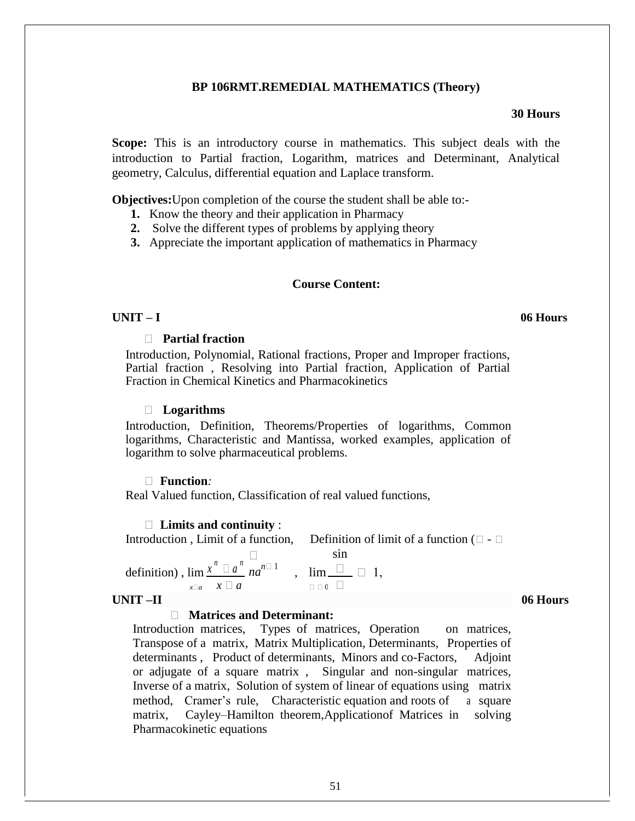# **BP 106RMT.REMEDIAL MATHEMATICS (Theory)**

# **30 Hours**

**Scope:** This is an introductory course in mathematics. This subject deals with the introduction to Partial fraction, Logarithm, matrices and Determinant, Analytical geometry, Calculus, differential equation and Laplace transform.

**Objectives:**Upon completion of the course the student shall be able to:-

- **1.** Know the theory and their application in Pharmacy
- **2.** Solve the different types of problems by applying theory
- **3.** Appreciate the important application of mathematics in Pharmacy

## **Course Content:**

## **UNIT – I 06 Hours**

# **Partial fraction**

Introduction, Polynomial, Rational fractions, Proper and Improper fractions, Partial fraction , Resolving into Partial fraction, Application of Partial Fraction in Chemical Kinetics and Pharmacokinetics

## **Logarithms**

Introduction, Definition, Theorems/Properties of logarithms, Common logarithms, Characteristic and Mantissa, worked examples, application of logarithm to solve pharmaceutical problems.

### **Function***:*

Real Valued function, Classification of real valued functions,

### **Limits and continuity** :

Introduction, Limit of a function, Definition of limit of a function  $(\Box - \Box$ 

definition),  $\lim_{n \to \infty} x^n \Box a^n \Box a^n$  $na^{n\Box 1}$ , lim sin  $\Box$   $\Box$  1,  $\mathbf{x} \Box a \quad \mathbf{x} \Box a$ 

## **UNIT –II 06 Hours**

### **Matrices and Determinant:**

Introduction matrices, Types of matrices, Operation on matrices, Transpose of a matrix, Matrix Multiplication, Determinants, Properties of determinants , Product of determinants, Minors and co-Factors, Adjoint or adjugate of a square matrix , Singular and non-singular matrices, Inverse of a matrix, Solution of system of linear of equations using matrix method, Cramer's rule, Characteristic equation and roots of a square matrix, Cayley–Hamilton theorem,Applicationof Matrices in solving Pharmacokinetic equations